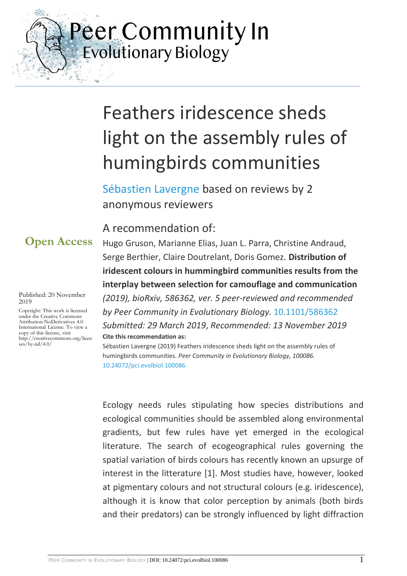Peer Community In<br>Evolutionary Biology

# Feathers iridescence sheds light on the assembly rules of humingbirds communities

[Sébastien Lavergne](https://evolbiol.peercommunityin.org/public/viewUserCard?userId=412) based on reviews by 2 anonymous reviewers

### A recommendation of:

**Open Access**

 $\mathcal{L}_{\frac{2\pi}{2\pi}}$ 

#### Published: 20 November 2019

Copyright: This work is licensed under the Creative Commons Attribution-NoDerivatives 4.0 International License. To view a copy of this license, visit http://creativecommons.org/licen ses/by-nd/4.0/

Hugo Gruson, Marianne Elias, Juan L. Parra, Christine Andraud, Serge Berthier, Claire Doutrelant, Doris Gomez. **Distribution of iridescent colours in hummingbird communities results from the interplay between selection for camouflage and communication**  *(2019), bioRxiv, 586362, ver. 5 peer-reviewed and recommended by Peer Community in Evolutionary Biology.* [10.1101/586362](https://doi.org/10.1101/586362) *Submitted: 29 March 2019*, *Recommended: 13 November 2019*

**Cite this recommendation as:** Sébastien Lavergne (2019) Feathers iridescence sheds light on the assembly rules of humingbirds communities. *Peer Community in Evolutionary Biology, 100086.* 

[10.24072/pci.evolbiol.100086](https://doi.org/10.24072/pci.evolbiol.100086)

Ecology needs rules stipulating how species distributions and ecological communities should be assembled along environmental gradients, but few rules have yet emerged in the ecological literature. The search of ecogeographical rules governing the spatial variation of birds colours has recently known an upsurge of interest in the litterature [1]. Most studies have, however, looked at pigmentary colours and not structural colours (e.g. iridescence), although it is know that color perception by animals (both birds and their predators) can be strongly influenced by light diffraction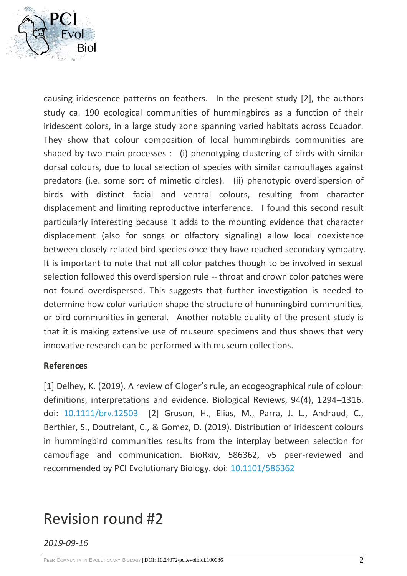

causing iridescence patterns on feathers. In the present study [2], the authors study ca. 190 ecological communities of hummingbirds as a function of their iridescent colors, in a large study zone spanning varied habitats across Ecuador. They show that colour composition of local hummingbirds communities are shaped by two main processes : (i) phenotyping clustering of birds with similar dorsal colours, due to local selection of species with similar camouflages against predators (i.e. some sort of mimetic circles). (ii) phenotypic overdispersion of birds with distinct facial and ventral colours, resulting from character displacement and limiting reproductive interference. I found this second result particularly interesting because it adds to the mounting evidence that character displacement (also for songs or olfactory signaling) allow local coexistence between closely-related bird species once they have reached secondary sympatry. It is important to note that not all color patches though to be involved in sexual selection followed this overdispersion rule -- throat and crown color patches were not found overdispersed. This suggests that further investigation is needed to determine how color variation shape the structure of hummingbird communities, or bird communities in general. Another notable quality of the present study is that it is making extensive use of museum specimens and thus shows that very innovative research can be performed with museum collections.

### **References**

[1] Delhey, K. (2019). A review of Gloger's rule, an ecogeographical rule of colour: definitions, interpretations and evidence. Biological Reviews, 94(4), 1294–1316. doi: [10.1111/brv.12503](https://dx.doi.org/10.1111/brv.12503) [2] Gruson, H., Elias, M., Parra, J. L., Andraud, C., Berthier, S., Doutrelant, C., & Gomez, D. (2019). Distribution of iridescent colours in hummingbird communities results from the interplay between selection for camouflage and communication. BioRxiv, 586362, v5 peer-reviewed and recommended by PCI Evolutionary Biology. doi: [10.1101/586362](https://dx.doi.org/10.1101/586362)

## Revision round #2

*2019-09-16*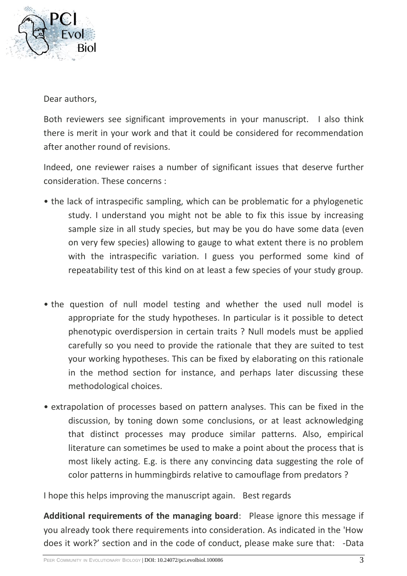

Dear authors,

Both reviewers see significant improvements in your manuscript. I also think there is merit in your work and that it could be considered for recommendation after another round of revisions.

Indeed, one reviewer raises a number of significant issues that deserve further consideration. These concerns :

- the lack of intraspecific sampling, which can be problematic for a phylogenetic study. I understand you might not be able to fix this issue by increasing sample size in all study species, but may be you do have some data (even on very few species) allowing to gauge to what extent there is no problem with the intraspecific variation. I guess you performed some kind of repeatability test of this kind on at least a few species of your study group.
- the question of null model testing and whether the used null model is appropriate for the study hypotheses. In particular is it possible to detect phenotypic overdispersion in certain traits ? Null models must be applied carefully so you need to provide the rationale that they are suited to test your working hypotheses. This can be fixed by elaborating on this rationale in the method section for instance, and perhaps later discussing these methodological choices.
- extrapolation of processes based on pattern analyses. This can be fixed in the discussion, by toning down some conclusions, or at least acknowledging that distinct processes may produce similar patterns. Also, empirical literature can sometimes be used to make a point about the process that is most likely acting. E.g. is there any convincing data suggesting the role of color patterns in hummingbirds relative to camouflage from predators ?

I hope this helps improving the manuscript again. Best regards

**Additional requirements of the managing board**: Please ignore this message if you already took there requirements into consideration. As indicated in the 'How does it work?' section and in the code of conduct, please make sure that: -Data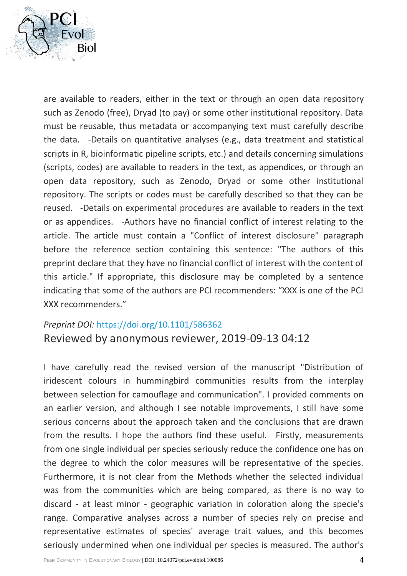

are available to readers, either in the text or through an open data repository such as Zenodo (free), Dryad (to pay) or some other institutional repository. Data must be reusable, thus metadata or accompanying text must carefully describe the data. -Details on quantitative analyses (e.g., data treatment and statistical scripts in R, bioinformatic pipeline scripts, etc.) and details concerning simulations (scripts, codes) are available to readers in the text, as appendices, or through an open data repository, such as Zenodo, Dryad or some other institutional repository. The scripts or codes must be carefully described so that they can be reused. -Details on experimental procedures are available to readers in the text or as appendices. -Authors have no financial conflict of interest relating to the article. The article must contain a "Conflict of interest disclosure" paragraph before the reference section containing this sentence: "The authors of this preprint declare that they have no financial conflict of interest with the content of this article." If appropriate, this disclosure may be completed by a sentence indicating that some of the authors are PCI recommenders: "XXX is one of the PCI XXX recommenders."

### *Preprint DOI:* <https://doi.org/10.1101/586362>

Reviewed by anonymous reviewer, 2019-09-13 04:12

I have carefully read the revised version of the manuscript "Distribution of iridescent colours in hummingbird communities results from the interplay between selection for camouflage and communication". I provided comments on an earlier version, and although I see notable improvements, I still have some serious concerns about the approach taken and the conclusions that are drawn from the results. I hope the authors find these useful. Firstly, measurements from one single individual per species seriously reduce the confidence one has on the degree to which the color measures will be representative of the species. Furthermore, it is not clear from the Methods whether the selected individual was from the communities which are being compared, as there is no way to discard - at least minor - geographic variation in coloration along the specie's range. Comparative analyses across a number of species rely on precise and representative estimates of species' average trait values, and this becomes seriously undermined when one individual per species is measured. The author's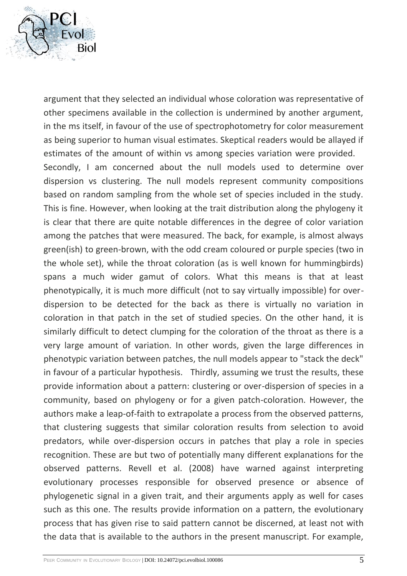

argument that they selected an individual whose coloration was representative of other specimens available in the collection is undermined by another argument, in the ms itself, in favour of the use of spectrophotometry for color measurement as being superior to human visual estimates. Skeptical readers would be allayed if estimates of the amount of within vs among species variation were provided. Secondly, I am concerned about the null models used to determine over dispersion vs clustering. The null models represent community compositions based on random sampling from the whole set of species included in the study. This is fine. However, when looking at the trait distribution along the phylogeny it is clear that there are quite notable differences in the degree of color variation among the patches that were measured. The back, for example, is almost always green(ish) to green-brown, with the odd cream coloured or purple species (two in the whole set), while the throat coloration (as is well known for hummingbirds) spans a much wider gamut of colors. What this means is that at least phenotypically, it is much more difficult (not to say virtually impossible) for overdispersion to be detected for the back as there is virtually no variation in coloration in that patch in the set of studied species. On the other hand, it is similarly difficult to detect clumping for the coloration of the throat as there is a very large amount of variation. In other words, given the large differences in phenotypic variation between patches, the null models appear to "stack the deck" in favour of a particular hypothesis. Thirdly, assuming we trust the results, these provide information about a pattern: clustering or over-dispersion of species in a community, based on phylogeny or for a given patch-coloration. However, the authors make a leap-of-faith to extrapolate a process from the observed patterns, that clustering suggests that similar coloration results from selection to avoid predators, while over-dispersion occurs in patches that play a role in species recognition. These are but two of potentially many different explanations for the observed patterns. Revell et al. (2008) have warned against interpreting evolutionary processes responsible for observed presence or absence of phylogenetic signal in a given trait, and their arguments apply as well for cases such as this one. The results provide information on a pattern, the evolutionary process that has given rise to said pattern cannot be discerned, at least not with the data that is available to the authors in the present manuscript. For example,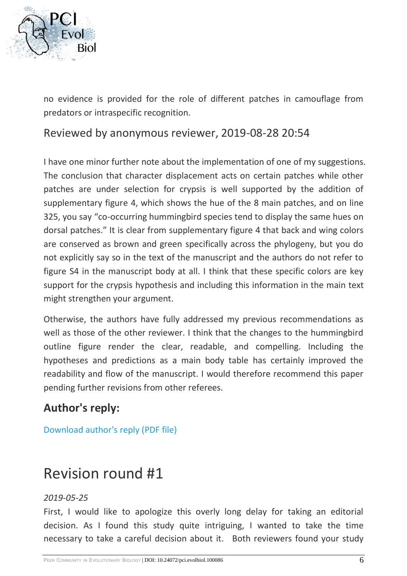

no evidence is provided for the role of different patches in camouflage from predators or intraspecific recognition.

Reviewed by anonymous reviewer, 2019-08-28 20:54

I have one minor further note about the implementation of one of my suggestions. The conclusion that character displacement acts on certain patches while other patches are under selection for crypsis is well supported by the addition of supplementary figure 4, which shows the hue of the 8 main patches, and on line 325, you say "co-occurring hummingbird species tend to display the same hues on dorsal patches." It is clear from supplementary figure 4 that back and wing colors are conserved as brown and green specifically across the phylogeny, but you do not explicitly say so in the text of the manuscript and the authors do not refer to figure S4 in the manuscript body at all. I think that these specific colors are key support for the crypsis hypothesis and including this information in the main text might strengthen your argument.

Otherwise, the authors have fully addressed my previous recommendations as well as those of the other reviewer. I think that the changes to the hummingbird outline figure render the clear, readable, and compelling. Including the hypotheses and predictions as a main body table has certainly improved the readability and flow of the manuscript. I would therefore recommend this paper pending further revisions from other referees.

### **Author's reply:**

[Download author's reply \(PDF file\)](https://evolbiol.peercommunityin.org/download/t_recommendations.reply_pdf.ab8fcfc859867dd1.5043495f726573706f6e73655f326e64726f756e642e706466.pdf)

## Revision round #1

### *2019-05-25*

First, I would like to apologize this overly long delay for taking an editorial decision. As I found this study quite intriguing, I wanted to take the time necessary to take a careful decision about it. Both reviewers found your study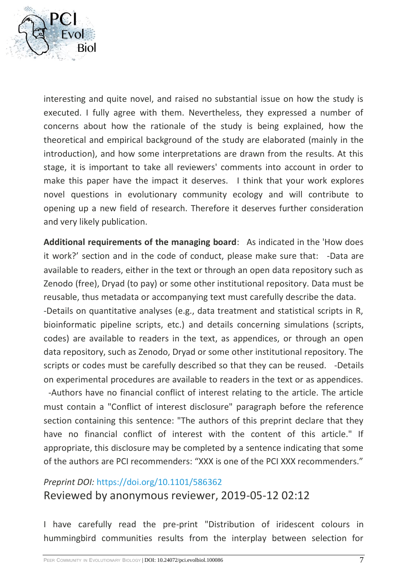

interesting and quite novel, and raised no substantial issue on how the study is executed. I fully agree with them. Nevertheless, they expressed a number of concerns about how the rationale of the study is being explained, how the theoretical and empirical background of the study are elaborated (mainly in the introduction), and how some interpretations are drawn from the results. At this stage, it is important to take all reviewers' comments into account in order to make this paper have the impact it deserves. I think that your work explores novel questions in evolutionary community ecology and will contribute to opening up a new field of research. Therefore it deserves further consideration and very likely publication.

**Additional requirements of the managing board**: As indicated in the 'How does it work?' section and in the code of conduct, please make sure that: -Data are available to readers, either in the text or through an open data repository such as Zenodo (free), Dryad (to pay) or some other institutional repository. Data must be reusable, thus metadata or accompanying text must carefully describe the data.

-Details on quantitative analyses (e.g., data treatment and statistical scripts in R, bioinformatic pipeline scripts, etc.) and details concerning simulations (scripts, codes) are available to readers in the text, as appendices, or through an open data repository, such as Zenodo, Dryad or some other institutional repository. The scripts or codes must be carefully described so that they can be reused. -Details on experimental procedures are available to readers in the text or as appendices.

-Authors have no financial conflict of interest relating to the article. The article must contain a "Conflict of interest disclosure" paragraph before the reference section containing this sentence: "The authors of this preprint declare that they have no financial conflict of interest with the content of this article." If appropriate, this disclosure may be completed by a sentence indicating that some of the authors are PCI recommenders: "XXX is one of the PCI XXX recommenders."

### *Preprint DOI:* <https://doi.org/10.1101/586362> Reviewed by anonymous reviewer, 2019-05-12 02:12

I have carefully read the pre-print "Distribution of iridescent colours in hummingbird communities results from the interplay between selection for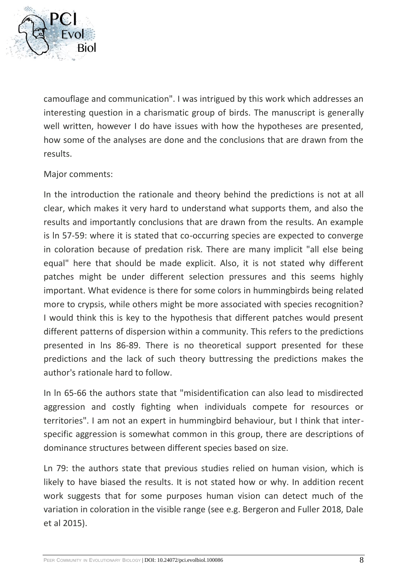

camouflage and communication". I was intrigued by this work which addresses an interesting question in a charismatic group of birds. The manuscript is generally well written, however I do have issues with how the hypotheses are presented, how some of the analyses are done and the conclusions that are drawn from the results.

### Major comments:

In the introduction the rationale and theory behind the predictions is not at all clear, which makes it very hard to understand what supports them, and also the results and importantly conclusions that are drawn from the results. An example is ln 57-59: where it is stated that co-occurring species are expected to converge in coloration because of predation risk. There are many implicit "all else being equal" here that should be made explicit. Also, it is not stated why different patches might be under different selection pressures and this seems highly important. What evidence is there for some colors in hummingbirds being related more to crypsis, while others might be more associated with species recognition? I would think this is key to the hypothesis that different patches would present different patterns of dispersion within a community. This refers to the predictions presented in lns 86-89. There is no theoretical support presented for these predictions and the lack of such theory buttressing the predictions makes the author's rationale hard to follow.

In ln 65-66 the authors state that "misidentification can also lead to misdirected aggression and costly fighting when individuals compete for resources or territories". I am not an expert in hummingbird behaviour, but I think that interspecific aggression is somewhat common in this group, there are descriptions of dominance structures between different species based on size.

Ln 79: the authors state that previous studies relied on human vision, which is likely to have biased the results. It is not stated how or why. In addition recent work suggests that for some purposes human vision can detect much of the variation in coloration in the visible range (see e.g. Bergeron and Fuller 2018, Dale et al 2015).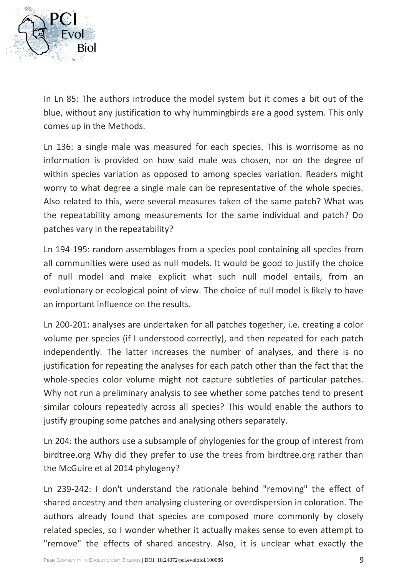

In Ln 85: The authors introduce the model system but it comes a bit out of the blue, without any justification to why hummingbirds are a good system. This only comes up in the Methods.

Ln 136: a single male was measured for each species. This is worrisome as no information is provided on how said male was chosen, nor on the degree of within species variation as opposed to among species variation. Readers might worry to what degree a single male can be representative of the whole species. Also related to this, were several measures taken of the same patch? What was the repeatability among measurements for the same individual and patch? Do patches vary in the repeatability?

Ln 194-195: random assemblages from a species pool containing all species from all communities were used as null models. It would be good to justify the choice of null model and make explicit what such null model entails, from an evolutionary or ecological point of view. The choice of null model is likely to have an important influence on the results.

Ln 200-201: analyses are undertaken for all patches together, i.e. creating a color volume per species (if I understood correctly), and then repeated for each patch independently. The latter increases the number of analyses, and there is no justification for repeating the analyses for each patch other than the fact that the whole-species color volume might not capture subtleties of particular patches. Why not run a preliminary analysis to see whether some patches tend to present similar colours repeatedly across all species? This would enable the authors to justify grouping some patches and analysing others separately.

Ln 204: the authors use a subsample of phylogenies for the group of interest from birdtree.org Why did they prefer to use the trees from birdtree.org rather than the McGuire et al 2014 phylogeny?

Ln 239-242: I don't understand the rationale behind "removing" the effect of shared ancestry and then analysing clustering or overdispersion in coloration. The authors already found that species are composed more commonly by closely related species, so I wonder whether it actually makes sense to even attempt to "remove" the effects of shared ancestry. Also, it is unclear what exactly the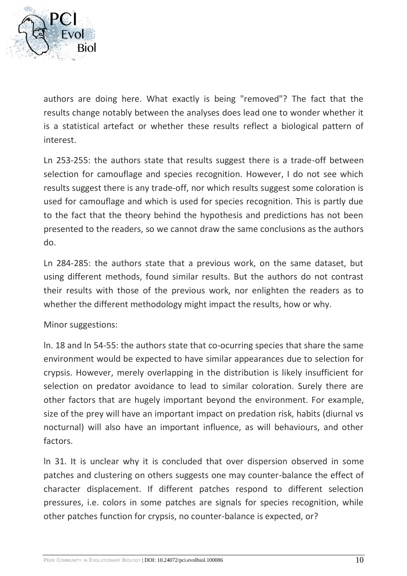

authors are doing here. What exactly is being "removed"? The fact that the results change notably between the analyses does lead one to wonder whether it is a statistical artefact or whether these results reflect a biological pattern of interest.

Ln 253-255: the authors state that results suggest there is a trade-off between selection for camouflage and species recognition. However, I do not see which results suggest there is any trade-off, nor which results suggest some coloration is used for camouflage and which is used for species recognition. This is partly due to the fact that the theory behind the hypothesis and predictions has not been presented to the readers, so we cannot draw the same conclusions as the authors do.

Ln 284-285: the authors state that a previous work, on the same dataset, but using different methods, found similar results. But the authors do not contrast their results with those of the previous work, nor enlighten the readers as to whether the different methodology might impact the results, how or why.

Minor suggestions:

ln. 18 and ln 54-55: the authors state that co-ocurring species that share the same environment would be expected to have similar appearances due to selection for crypsis. However, merely overlapping in the distribution is likely insufficient for selection on predator avoidance to lead to similar coloration. Surely there are other factors that are hugely important beyond the environment. For example, size of the prey will have an important impact on predation risk, habits (diurnal vs nocturnal) will also have an important influence, as will behaviours, and other factors.

ln 31. It is unclear why it is concluded that over dispersion observed in some patches and clustering on others suggests one may counter-balance the effect of character displacement. If different patches respond to different selection pressures, i.e. colors in some patches are signals for species recognition, while other patches function for crypsis, no counter-balance is expected, or?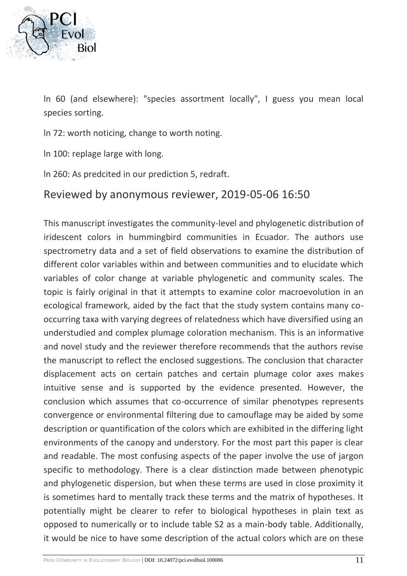

ln 60 (and elsewhere): "species assortment locally", I guess you mean local species sorting.

ln 72: worth noticing, change to worth noting.

ln 100: replage large with long.

ln 260: As predcited in our prediction 5, redraft.

### Reviewed by anonymous reviewer, 2019-05-06 16:50

This manuscript investigates the community-level and phylogenetic distribution of iridescent colors in hummingbird communities in Ecuador. The authors use spectrometry data and a set of field observations to examine the distribution of different color variables within and between communities and to elucidate which variables of color change at variable phylogenetic and community scales. The topic is fairly original in that it attempts to examine color macroevolution in an ecological framework, aided by the fact that the study system contains many cooccurring taxa with varying degrees of relatedness which have diversified using an understudied and complex plumage coloration mechanism. This is an informative and novel study and the reviewer therefore recommends that the authors revise the manuscript to reflect the enclosed suggestions. The conclusion that character displacement acts on certain patches and certain plumage color axes makes intuitive sense and is supported by the evidence presented. However, the conclusion which assumes that co-occurrence of similar phenotypes represents convergence or environmental filtering due to camouflage may be aided by some description or quantification of the colors which are exhibited in the differing light environments of the canopy and understory. For the most part this paper is clear and readable. The most confusing aspects of the paper involve the use of jargon specific to methodology. There is a clear distinction made between phenotypic and phylogenetic dispersion, but when these terms are used in close proximity it is sometimes hard to mentally track these terms and the matrix of hypotheses. It potentially might be clearer to refer to biological hypotheses in plain text as opposed to numerically or to include table S2 as a main-body table. Additionally, it would be nice to have some description of the actual colors which are on these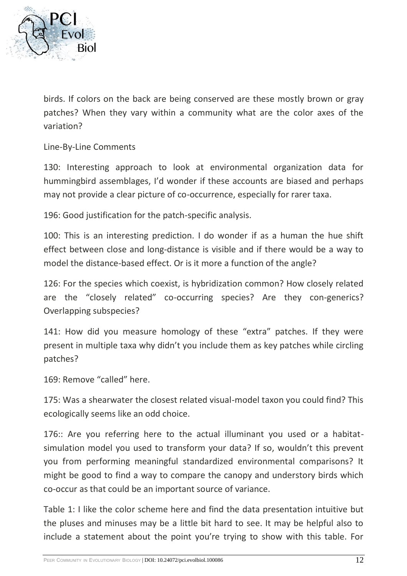

birds. If colors on the back are being conserved are these mostly brown or gray patches? When they vary within a community what are the color axes of the variation?

Line-By-Line Comments

130: Interesting approach to look at environmental organization data for hummingbird assemblages, I'd wonder if these accounts are biased and perhaps may not provide a clear picture of co-occurrence, especially for rarer taxa.

196: Good justification for the patch-specific analysis.

100: This is an interesting prediction. I do wonder if as a human the hue shift effect between close and long-distance is visible and if there would be a way to model the distance-based effect. Or is it more a function of the angle?

126: For the species which coexist, is hybridization common? How closely related are the "closely related" co-occurring species? Are they con-generics? Overlapping subspecies?

141: How did you measure homology of these "extra" patches. If they were present in multiple taxa why didn't you include them as key patches while circling patches?

169: Remove "called" here.

175: Was a shearwater the closest related visual-model taxon you could find? This ecologically seems like an odd choice.

176:: Are you referring here to the actual illuminant you used or a habitatsimulation model you used to transform your data? If so, wouldn't this prevent you from performing meaningful standardized environmental comparisons? It might be good to find a way to compare the canopy and understory birds which co-occur as that could be an important source of variance.

Table 1: I like the color scheme here and find the data presentation intuitive but the pluses and minuses may be a little bit hard to see. It may be helpful also to include a statement about the point you're trying to show with this table. For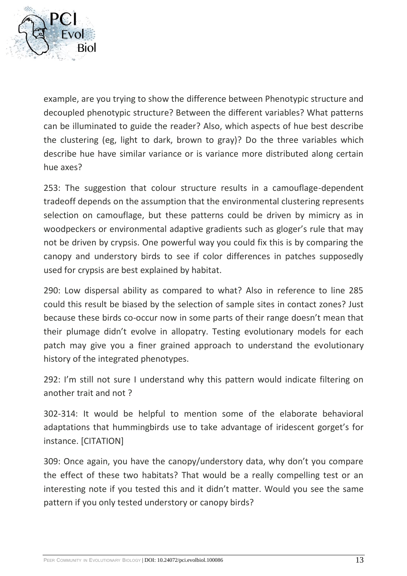

example, are you trying to show the difference between Phenotypic structure and decoupled phenotypic structure? Between the different variables? What patterns can be illuminated to guide the reader? Also, which aspects of hue best describe the clustering (eg, light to dark, brown to gray)? Do the three variables which describe hue have similar variance or is variance more distributed along certain hue axes?

253: The suggestion that colour structure results in a camouflage-dependent tradeoff depends on the assumption that the environmental clustering represents selection on camouflage, but these patterns could be driven by mimicry as in woodpeckers or environmental adaptive gradients such as gloger's rule that may not be driven by crypsis. One powerful way you could fix this is by comparing the canopy and understory birds to see if color differences in patches supposedly used for crypsis are best explained by habitat.

290: Low dispersal ability as compared to what? Also in reference to line 285 could this result be biased by the selection of sample sites in contact zones? Just because these birds co-occur now in some parts of their range doesn't mean that their plumage didn't evolve in allopatry. Testing evolutionary models for each patch may give you a finer grained approach to understand the evolutionary history of the integrated phenotypes.

292: I'm still not sure I understand why this pattern would indicate filtering on another trait and not ?

302-314: It would be helpful to mention some of the elaborate behavioral adaptations that hummingbirds use to take advantage of iridescent gorget's for instance. [CITATION]

309: Once again, you have the canopy/understory data, why don't you compare the effect of these two habitats? That would be a really compelling test or an interesting note if you tested this and it didn't matter. Would you see the same pattern if you only tested understory or canopy birds?